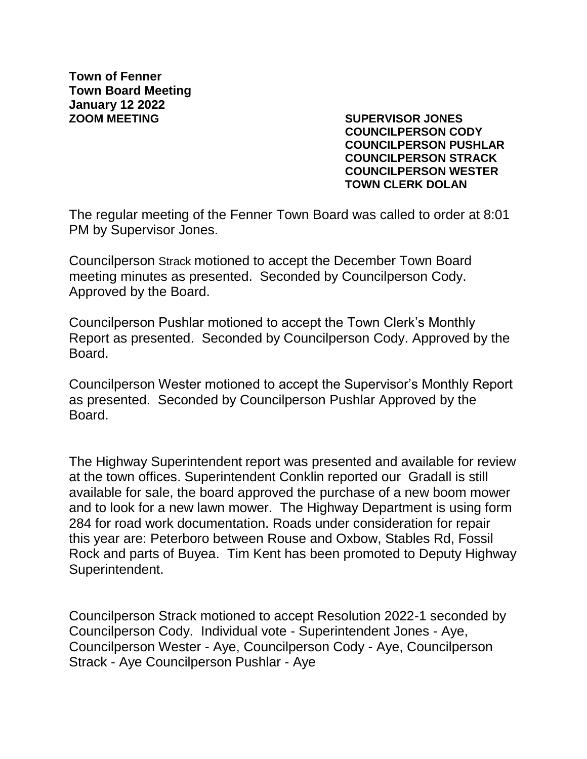**Town of Fenner Town Board Meeting January 12 2022 ZOOM MEETING SUPERVISOR JONES**

**COUNCILPERSON CODY COUNCILPERSON PUSHLAR COUNCILPERSON STRACK COUNCILPERSON WESTER TOWN CLERK DOLAN**

The regular meeting of the Fenner Town Board was called to order at 8:01 PM by Supervisor Jones.

Councilperson Strack motioned to accept the December Town Board meeting minutes as presented. Seconded by Councilperson Cody. Approved by the Board.

Councilperson Pushlar motioned to accept the Town Clerk's Monthly Report as presented. Seconded by Councilperson Cody. Approved by the Board.

Councilperson Wester motioned to accept the Supervisor's Monthly Report as presented. Seconded by Councilperson Pushlar Approved by the **Board** 

The Highway Superintendent report was presented and available for review at the town offices. Superintendent Conklin reported our Gradall is still available for sale, the board approved the purchase of a new boom mower and to look for a new lawn mower. The Highway Department is using form 284 for road work documentation. Roads under consideration for repair this year are: Peterboro between Rouse and Oxbow, Stables Rd, Fossil Rock and parts of Buyea. Tim Kent has been promoted to Deputy Highway Superintendent.

Councilperson Strack motioned to accept Resolution 2022-1 seconded by Councilperson Cody. Individual vote - Superintendent Jones - Aye, Councilperson Wester - Aye, Councilperson Cody - Aye, Councilperson Strack - Aye Councilperson Pushlar - Aye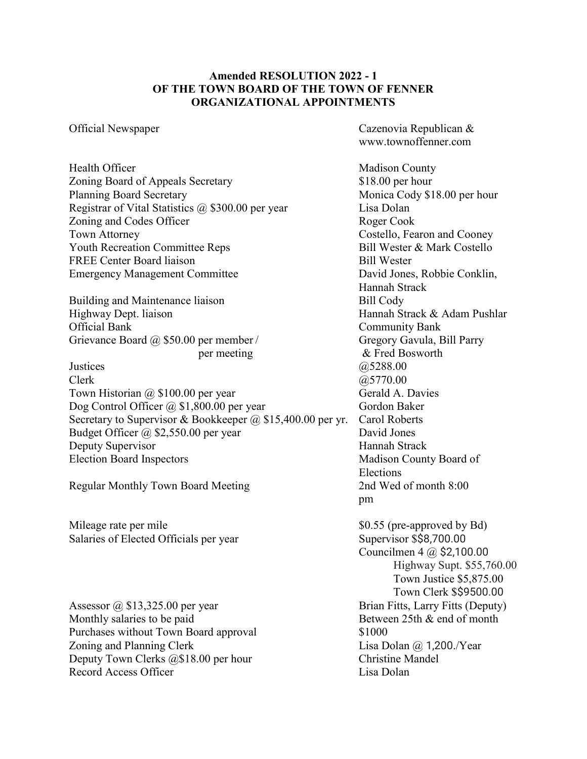## **Amended RESOLUTION 2022 - 1 OF THE TOWN BOARD OF THE TOWN OF FENNER ORGANIZATIONAL APPOINTMENTS**

Health Officer Madison County Zoning Board of Appeals Secretary \$18.00 per hour Planning Board Secretary Monica Cody \$18.00 per hour Registrar of Vital Statistics @ \$300.00 per year Lisa Dolan Zoning and Codes Officer Roger Cook Town Attorney Costello, Fearon and Cooney Youth Recreation Committee Reps Bill Wester & Mark Costello FREE Center Board liaison Bill Wester Emergency Management Committee David Jones, Robbie Conklin,

Building and Maintenance liaison Bill Cody Highway Dept. liaison Hannah Strack & Adam Pushlar Official Bank Community Bank Grievance Board @ \$50.00 per member / Gregory Gavula, Bill Parry

Justices @5288.00  $Clerk$   $@5770.00$ Town Historian @ \$100.00 per year Gerald A. Davies Dog Control Officer @ \$1,800.00 per year Gordon Baker Secretary to Supervisor & Bookkeeper @ \$15,400.00 per yr. Carol Roberts Budget Officer @ \$2,550.00 per year David Jones Deputy Supervisor Hannah Strack Election Board Inspectors Madison County Board of

Regular Monthly Town Board Meeting 2nd Wed of month 8:00

Mileage rate per mile \$0.55 (pre-approved by Bd) Salaries of Elected Officials per year Supervisor \$\$8,700.00

Assessor @ \$13,325.00 per year Brian Fitts, Larry Fitts (Deputy) Monthly salaries to be paid Between 25th & end of month Purchases without Town Board approval \$1000 Zoning and Planning Clerk Lisa Dolan @ 1,200./Year Deputy Town Clerks @\$18.00 per hour Christine Mandel Record Access Officer **Lisa Dolan** 

Official Newspaper Cazenovia Republican & www.townoffenner.com

> Hannah Strack per meeting & Fred Bosworth Elections pm Councilmen 4 @ \$2,100.00 Highway Supt. \$55,760.00 Town Justice \$5,875.00 Town Clerk \$\$9500.00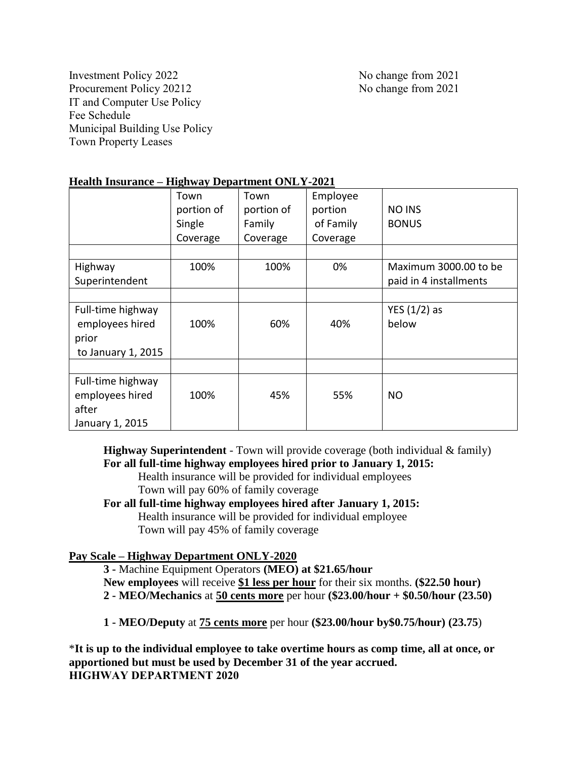Investment Policy 2022 No change from 2021 Procurement Policy 20212 No change from 2021 IT and Computer Use Policy Fee Schedule Municipal Building Use Policy Town Property Leases

#### **Health Insurance – Highway Department ONLY-2021**

|                    | Town       | Town       | Employee  |                        |
|--------------------|------------|------------|-----------|------------------------|
|                    | portion of | portion of | portion   | <b>NO INS</b>          |
|                    | Single     | Family     | of Family | <b>BONUS</b>           |
|                    | Coverage   | Coverage   | Coverage  |                        |
|                    |            |            |           |                        |
| Highway            | 100%       | 100%       | 0%        | Maximum 3000.00 to be  |
| Superintendent     |            |            |           | paid in 4 installments |
|                    |            |            |           |                        |
| Full-time highway  |            |            |           | YES $(1/2)$ as         |
| employees hired    | 100%       | 60%        | 40%       | below                  |
| prior              |            |            |           |                        |
| to January 1, 2015 |            |            |           |                        |
|                    |            |            |           |                        |
| Full-time highway  |            |            |           |                        |
| employees hired    | 100%       | 45%        | 55%       | <b>NO</b>              |
| after              |            |            |           |                        |
| January 1, 2015    |            |            |           |                        |

**Highway Superintendent** - Town will provide coverage (both individual & family) **For all full-time highway employees hired prior to January 1, 2015:**

Health insurance will be provided for individual employees Town will pay 60% of family coverage

**For all full-time highway employees hired after January 1, 2015:** Health insurance will be provided for individual employee Town will pay 45% of family coverage

# **Pay Scale – Highway Department ONLY-2020**

**3 -** Machine Equipment Operators **(MEO) at \$21.65/hour New employees** will receive **\$1 less per hour** for their six months. **(\$22.50 hour) 2 - MEO/Mechanics** at **50 cents more** per hour **(\$23.00/hour + \$0.50/hour (23.50)**

**1 - MEO/Deputy** at **75 cents more** per hour **(\$23.00/hour by\$0.75/hour) (23.75**)

\***It is up to the individual employee to take overtime hours as comp time, all at once, or apportioned but must be used by December 31 of the year accrued. HIGHWAY DEPARTMENT 2020**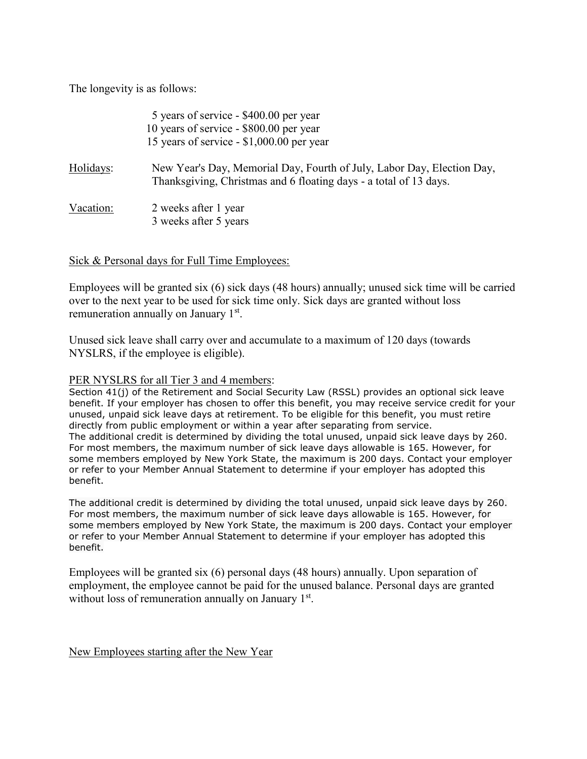The longevity is as follows:

|           | 5 years of service - \$400.00 per year<br>10 years of service - \$800.00 per year<br>15 years of service - \$1,000.00 per year              |
|-----------|---------------------------------------------------------------------------------------------------------------------------------------------|
| Holidays: | New Year's Day, Memorial Day, Fourth of July, Labor Day, Election Day,<br>Thanksgiving, Christmas and 6 floating days - a total of 13 days. |
| Vacation: | 2 weeks after 1 year<br>3 weeks after 5 years                                                                                               |

# Sick & Personal days for Full Time Employees:

Employees will be granted six (6) sick days (48 hours) annually; unused sick time will be carried over to the next year to be used for sick time only. Sick days are granted without loss remuneration annually on January 1<sup>st</sup>.

Unused sick leave shall carry over and accumulate to a maximum of 120 days (towards NYSLRS, if the employee is eligible).

#### PER NYSLRS for all Tier 3 and 4 members:

Section 41(j) of the Retirement and Social Security Law (RSSL) provides an optional sick leave benefit. If your employer has chosen to offer this benefit, you may receive service credit for your unused, unpaid sick leave days at retirement. To be eligible for this benefit, you must retire directly from public employment or within a year after separating from service. The additional credit is determined by dividing the total unused, unpaid sick leave days by 260. For most members, the maximum number of sick leave days allowable is 165. However, for some members employed by New York State, the maximum is 200 days. Contact your employer or refer to your Member Annual Statement to determine if your employer has adopted this benefit.

The additional credit is determined by dividing the total unused, unpaid sick leave days by 260. For most members, the maximum number of sick leave days allowable is 165. However, for some members employed by New York State, the maximum is 200 days. Contact your employer or refer to your Member Annual Statement to determine if your employer has adopted this benefit.

Employees will be granted six (6) personal days (48 hours) annually. Upon separation of employment, the employee cannot be paid for the unused balance. Personal days are granted without loss of remuneration annually on January 1st.

New Employees starting after the New Year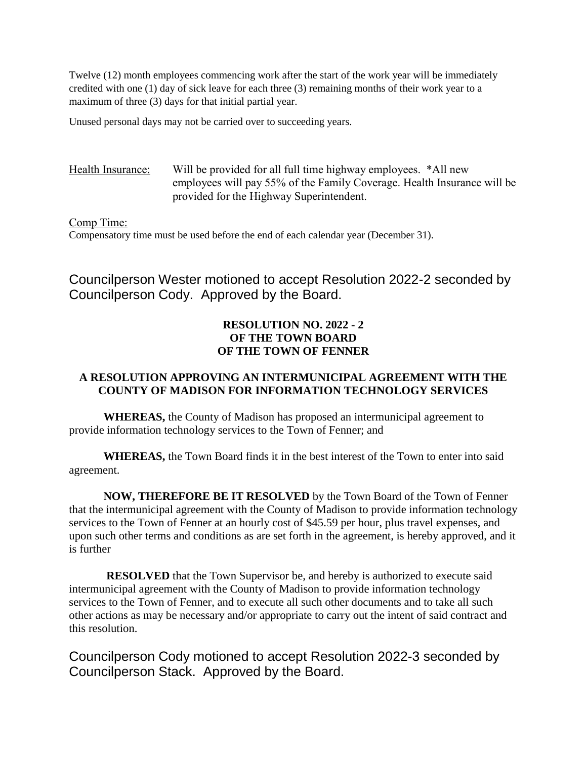Twelve (12) month employees commencing work after the start of the work year will be immediately credited with one (1) day of sick leave for each three (3) remaining months of their work year to a maximum of three (3) days for that initial partial year.

Unused personal days may not be carried over to succeeding years.

Health Insurance: Will be provided for all full time highway employees. \*All new employees will pay 55% of the Family Coverage. Health Insurance will be provided for the Highway Superintendent.

#### Comp Time:

Compensatory time must be used before the end of each calendar year (December 31).

Councilperson Wester motioned to accept Resolution 2022-2 seconded by Councilperson Cody. Approved by the Board.

# **RESOLUTION NO. 2022 - 2 OF THE TOWN BOARD OF THE TOWN OF FENNER**

#### **A RESOLUTION APPROVING AN INTERMUNICIPAL AGREEMENT WITH THE COUNTY OF MADISON FOR INFORMATION TECHNOLOGY SERVICES**

**WHEREAS,** the County of Madison has proposed an intermunicipal agreement to provide information technology services to the Town of Fenner; and

**WHEREAS,** the Town Board finds it in the best interest of the Town to enter into said agreement.

**NOW, THEREFORE BE IT RESOLVED** by the Town Board of the Town of Fenner that the intermunicipal agreement with the County of Madison to provide information technology services to the Town of Fenner at an hourly cost of \$45.59 per hour, plus travel expenses, and upon such other terms and conditions as are set forth in the agreement, is hereby approved, and it is further

**RESOLVED** that the Town Supervisor be, and hereby is authorized to execute said intermunicipal agreement with the County of Madison to provide information technology services to the Town of Fenner, and to execute all such other documents and to take all such other actions as may be necessary and/or appropriate to carry out the intent of said contract and this resolution.

Councilperson Cody motioned to accept Resolution 2022-3 seconded by Councilperson Stack. Approved by the Board.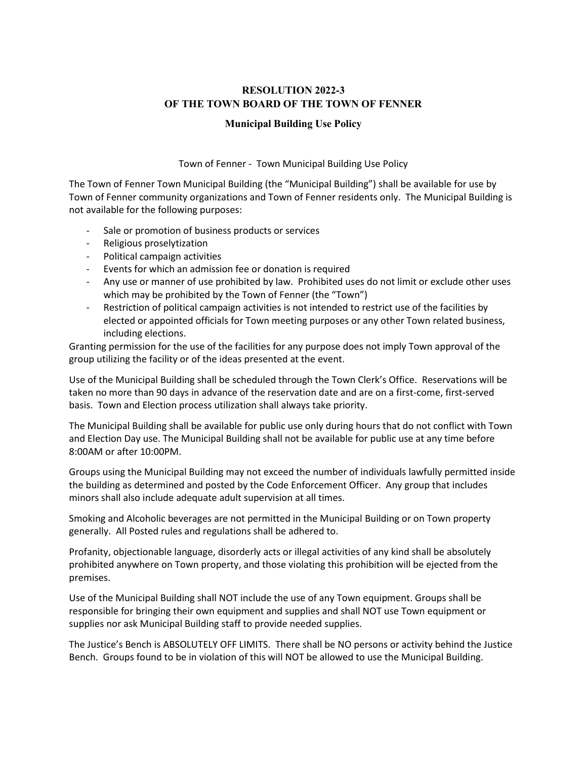# **RESOLUTION 2022-3 OF THE TOWN BOARD OF THE TOWN OF FENNER**

#### **Municipal Building Use Policy**

Town of Fenner - Town Municipal Building Use Policy

The Town of Fenner Town Municipal Building (the "Municipal Building") shall be available for use by Town of Fenner community organizations and Town of Fenner residents only. The Municipal Building is not available for the following purposes:

- Sale or promotion of business products or services
- Religious proselytization
- Political campaign activities
- Events for which an admission fee or donation is required
- Any use or manner of use prohibited by law. Prohibited uses do not limit or exclude other uses which may be prohibited by the Town of Fenner (the "Town")
- Restriction of political campaign activities is not intended to restrict use of the facilities by elected or appointed officials for Town meeting purposes or any other Town related business, including elections.

Granting permission for the use of the facilities for any purpose does not imply Town approval of the group utilizing the facility or of the ideas presented at the event.

Use of the Municipal Building shall be scheduled through the Town Clerk's Office. Reservations will be taken no more than 90 days in advance of the reservation date and are on a first-come, first-served basis. Town and Election process utilization shall always take priority.

The Municipal Building shall be available for public use only during hours that do not conflict with Town and Election Day use. The Municipal Building shall not be available for public use at any time before 8:00AM or after 10:00PM.

Groups using the Municipal Building may not exceed the number of individuals lawfully permitted inside the building as determined and posted by the Code Enforcement Officer. Any group that includes minors shall also include adequate adult supervision at all times.

Smoking and Alcoholic beverages are not permitted in the Municipal Building or on Town property generally. All Posted rules and regulations shall be adhered to.

Profanity, objectionable language, disorderly acts or illegal activities of any kind shall be absolutely prohibited anywhere on Town property, and those violating this prohibition will be ejected from the premises.

Use of the Municipal Building shall NOT include the use of any Town equipment. Groups shall be responsible for bringing their own equipment and supplies and shall NOT use Town equipment or supplies nor ask Municipal Building staff to provide needed supplies.

The Justice's Bench is ABSOLUTELY OFF LIMITS. There shall be NO persons or activity behind the Justice Bench. Groups found to be in violation of this will NOT be allowed to use the Municipal Building.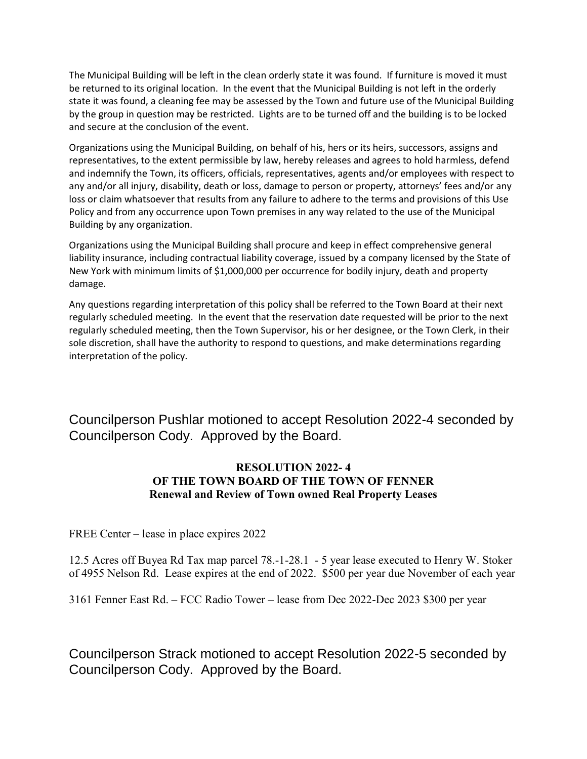The Municipal Building will be left in the clean orderly state it was found. If furniture is moved it must be returned to its original location. In the event that the Municipal Building is not left in the orderly state it was found, a cleaning fee may be assessed by the Town and future use of the Municipal Building by the group in question may be restricted. Lights are to be turned off and the building is to be locked and secure at the conclusion of the event.

Organizations using the Municipal Building, on behalf of his, hers or its heirs, successors, assigns and representatives, to the extent permissible by law, hereby releases and agrees to hold harmless, defend and indemnify the Town, its officers, officials, representatives, agents and/or employees with respect to any and/or all injury, disability, death or loss, damage to person or property, attorneys' fees and/or any loss or claim whatsoever that results from any failure to adhere to the terms and provisions of this Use Policy and from any occurrence upon Town premises in any way related to the use of the Municipal Building by any organization.

Organizations using the Municipal Building shall procure and keep in effect comprehensive general liability insurance, including contractual liability coverage, issued by a company licensed by the State of New York with minimum limits of \$1,000,000 per occurrence for bodily injury, death and property damage.

Any questions regarding interpretation of this policy shall be referred to the Town Board at their next regularly scheduled meeting. In the event that the reservation date requested will be prior to the next regularly scheduled meeting, then the Town Supervisor, his or her designee, or the Town Clerk, in their sole discretion, shall have the authority to respond to questions, and make determinations regarding interpretation of the policy.

Councilperson Pushlar motioned to accept Resolution 2022-4 seconded by Councilperson Cody. Approved by the Board.

# **RESOLUTION 2022- 4 OF THE TOWN BOARD OF THE TOWN OF FENNER Renewal and Review of Town owned Real Property Leases**

FREE Center – lease in place expires 2022

12.5 Acres off Buyea Rd Tax map parcel 78.-1-28.1 - 5 year lease executed to Henry W. Stoker of 4955 Nelson Rd. Lease expires at the end of 2022. \$500 per year due November of each year

3161 Fenner East Rd. – FCC Radio Tower – lease from Dec 2022-Dec 2023 \$300 per year

Councilperson Strack motioned to accept Resolution 2022-5 seconded by Councilperson Cody. Approved by the Board.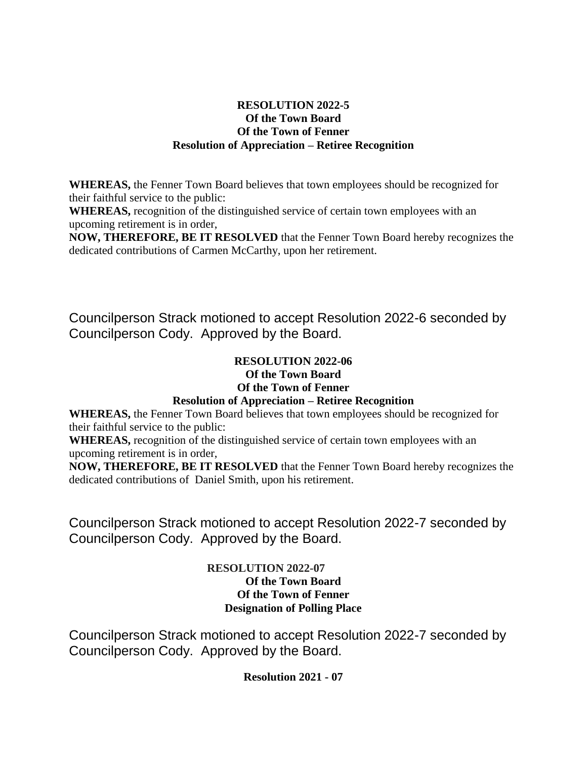# **RESOLUTION 2022-5 Of the Town Board Of the Town of Fenner Resolution of Appreciation – Retiree Recognition**

**WHEREAS,** the Fenner Town Board believes that town employees should be recognized for their faithful service to the public:

**WHEREAS,** recognition of the distinguished service of certain town employees with an upcoming retirement is in order,

**NOW, THEREFORE, BE IT RESOLVED** that the Fenner Town Board hereby recognizes the dedicated contributions of Carmen McCarthy, upon her retirement.

Councilperson Strack motioned to accept Resolution 2022-6 seconded by Councilperson Cody. Approved by the Board.

# **RESOLUTION 2022-06**

# **Of the Town Board**

**Of the Town of Fenner**

# **Resolution of Appreciation – Retiree Recognition**

**WHEREAS,** the Fenner Town Board believes that town employees should be recognized for their faithful service to the public:

**WHEREAS,** recognition of the distinguished service of certain town employees with an upcoming retirement is in order,

**NOW, THEREFORE, BE IT RESOLVED** that the Fenner Town Board hereby recognizes the dedicated contributions of Daniel Smith, upon his retirement.

Councilperson Strack motioned to accept Resolution 2022-7 seconded by Councilperson Cody. Approved by the Board.

# **RESOLUTION 2022-07 Of the Town Board Of the Town of Fenner Designation of Polling Place**

Councilperson Strack motioned to accept Resolution 2022-7 seconded by Councilperson Cody. Approved by the Board.

**Resolution 2021 - 07**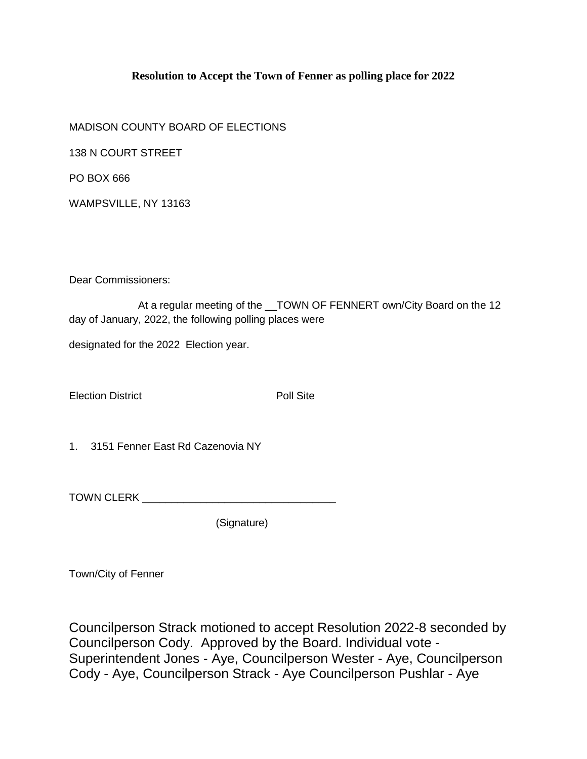# **Resolution to Accept the Town of Fenner as polling place for 2022**

MADISON COUNTY BOARD OF ELECTIONS

138 N COURT STREET

PO BOX 666

WAMPSVILLE, NY 13163

Dear Commissioners:

At a regular meeting of the \_\_TOWN OF FENNERT own/City Board on the 12 day of January, 2022, the following polling places were

designated for the 2022 Election year.

Election District **Poll Site** 

1. 3151 Fenner East Rd Cazenovia NY

TOWN CLERK **EXECUTE AND TOWN** 

(Signature)

Town/City of Fenner

Councilperson Strack motioned to accept Resolution 2022-8 seconded by Councilperson Cody. Approved by the Board. Individual vote - Superintendent Jones - Aye, Councilperson Wester - Aye, Councilperson Cody - Aye, Councilperson Strack - Aye Councilperson Pushlar - Aye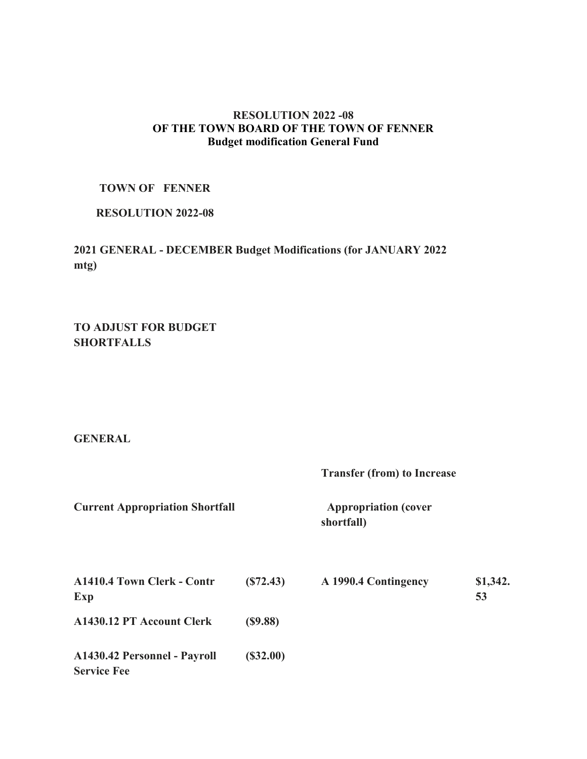## **RESOLUTION 2022 -08 OF THE TOWN BOARD OF THE TOWN OF FENNER Budget modification General Fund**

## **TOWN OF FENNER**

## **RESOLUTION 2022-08**

**2021 GENERAL - DECEMBER Budget Modifications (for JANUARY 2022 mtg)**

**TO ADJUST FOR BUDGET SHORTFALLS**

### **GENERAL**

**Transfer (from) to Increase**

**Current Appropriation Shortfall Manual Appropriation (cover all Appropriation (cover all Appropriation (cover all Appropriation (cover all Appropriation (cover all Appropriation (cover all Appropriation (cover all Appropr** 

**shortfall)**

| <b>A1410.4 Town Clerk - Contr</b><br>Exp           | (S72.43) | A 1990.4 Contingency | \$1,342.<br>53 |
|----------------------------------------------------|----------|----------------------|----------------|
| A1430.12 PT Account Clerk                          | (S9.88)  |                      |                |
| A1430.42 Personnel - Payroll<br><b>Service Fee</b> | (S32.00) |                      |                |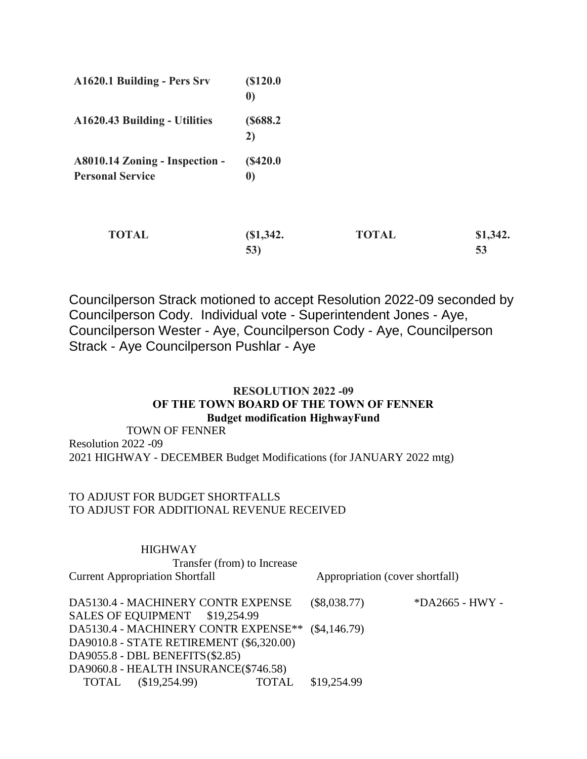| A1620.1 Building - Pers Srv                               | (S120.0)<br>$\boldsymbol{0}$ |              |                |
|-----------------------------------------------------------|------------------------------|--------------|----------------|
| A1620.43 Building - Utilities                             | (S688.2)<br>2)               |              |                |
| A8010.14 Zoning - Inspection -<br><b>Personal Service</b> | (S420.0)<br>$\boldsymbol{0}$ |              |                |
| <b>TOTAL</b>                                              | $(S1, 342)$ .<br>53)         | <b>TOTAL</b> | \$1,342.<br>53 |

Councilperson Strack motioned to accept Resolution 2022-09 seconded by Councilperson Cody. Individual vote - Superintendent Jones - Aye, Councilperson Wester - Aye, Councilperson Cody - Aye, Councilperson Strack - Aye Councilperson Pushlar - Aye

# **RESOLUTION 2022 -09 OF THE TOWN BOARD OF THE TOWN OF FENNER Budget modification HighwayFund**

 TOWN OF FENNER Resolution 2022 -09 2021 HIGHWAY - DECEMBER Budget Modifications (for JANUARY 2022 mtg)

# TO ADJUST FOR BUDGET SHORTFALLS TO ADJUST FOR ADDITIONAL REVENUE RECEIVED

| <b>HIGHWAY</b>                           |                                 |                   |  |
|------------------------------------------|---------------------------------|-------------------|--|
| Transfer (from) to Increase              |                                 |                   |  |
| <b>Current Appropriation Shortfall</b>   | Appropriation (cover shortfall) |                   |  |
|                                          |                                 |                   |  |
| DA5130.4 - MACHINERY CONTR EXPENSE       | $(\$8,038.77)$                  | $*DA2665$ - HWY - |  |
| SALES OF EQUIPMENT \$19,254.99           |                                 |                   |  |
| DA5130.4 - MACHINERY CONTR EXPENSE**     | $(\$4,146.79)$                  |                   |  |
| DA9010.8 - STATE RETIREMENT (\$6,320.00) |                                 |                   |  |
| DA9055.8 - DBL BENEFITS (\$2.85)         |                                 |                   |  |
| DA9060.8 - HEALTH INSURANCE(\$746.58)    |                                 |                   |  |
| (\$19,254.99)<br><b>TOTAL</b><br>TOTAL   | \$19,254.99                     |                   |  |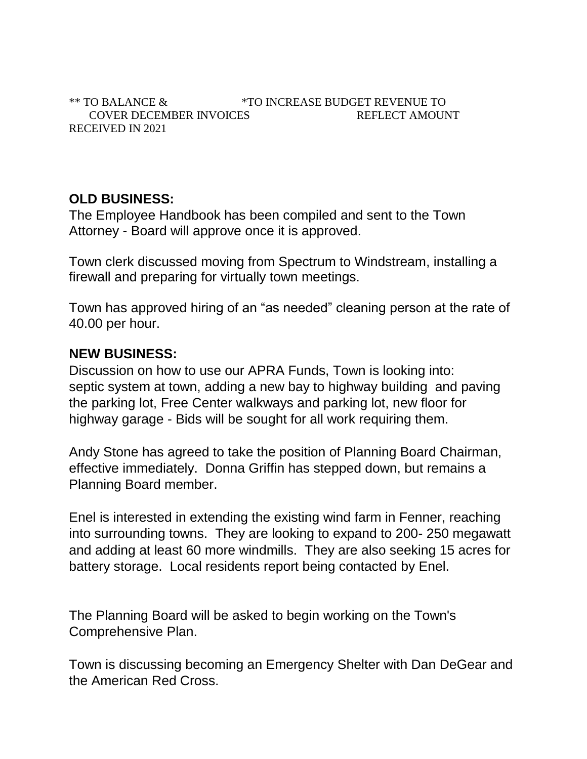\*\* TO BALANCE & \*TO INCREASE BUDGET REVENUE TO COVER DECEMBER INVOICES REFLECT AMOUNT RECEIVED IN 2021

# **OLD BUSINESS:**

The Employee Handbook has been compiled and sent to the Town Attorney - Board will approve once it is approved.

Town clerk discussed moving from Spectrum to Windstream, installing a firewall and preparing for virtually town meetings.

Town has approved hiring of an "as needed" cleaning person at the rate of 40.00 per hour.

# **NEW BUSINESS:**

Discussion on how to use our APRA Funds, Town is looking into: septic system at town, adding a new bay to highway building and paving the parking lot, Free Center walkways and parking lot, new floor for highway garage - Bids will be sought for all work requiring them.

Andy Stone has agreed to take the position of Planning Board Chairman, effective immediately. Donna Griffin has stepped down, but remains a Planning Board member.

Enel is interested in extending the existing wind farm in Fenner, reaching into surrounding towns. They are looking to expand to 200- 250 megawatt and adding at least 60 more windmills. They are also seeking 15 acres for battery storage. Local residents report being contacted by Enel.

The Planning Board will be asked to begin working on the Town's Comprehensive Plan.

Town is discussing becoming an Emergency Shelter with Dan DeGear and the American Red Cross.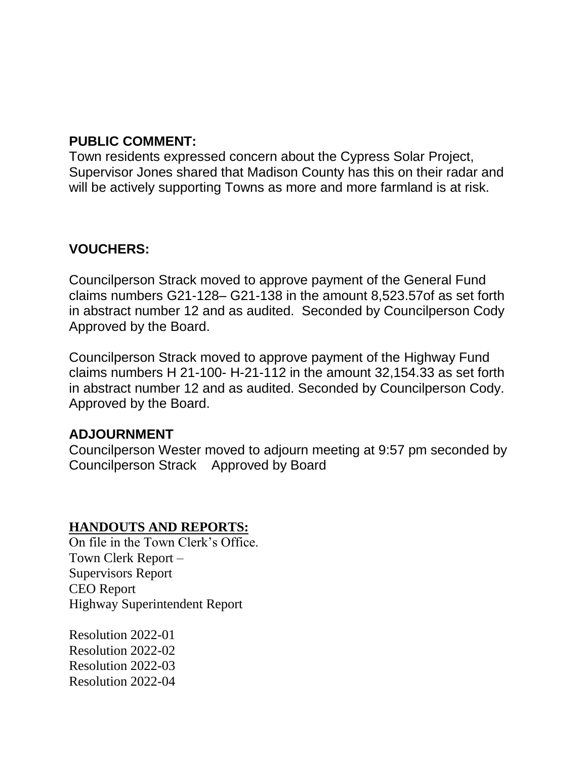# **PUBLIC COMMENT:**

Town residents expressed concern about the Cypress Solar Project, Supervisor Jones shared that Madison County has this on their radar and will be actively supporting Towns as more and more farmland is at risk.

# **VOUCHERS:**

Councilperson Strack moved to approve payment of the General Fund claims numbers G21-128– G21-138 in the amount 8,523.57of as set forth in abstract number 12 and as audited. Seconded by Councilperson Cody Approved by the Board.

Councilperson Strack moved to approve payment of the Highway Fund claims numbers H 21-100- H-21-112 in the amount 32,154.33 as set forth in abstract number 12 and as audited. Seconded by Councilperson Cody. Approved by the Board.

# **ADJOURNMENT**

Councilperson Wester moved to adjourn meeting at 9:57 pm seconded by Councilperson Strack Approved by Board

# **HANDOUTS AND REPORTS:**

On file in the Town Clerk's Office. Town Clerk Report – Supervisors Report CEO Report Highway Superintendent Report

Resolution 2022-01 Resolution 2022-02 Resolution 2022-03 Resolution 2022-04